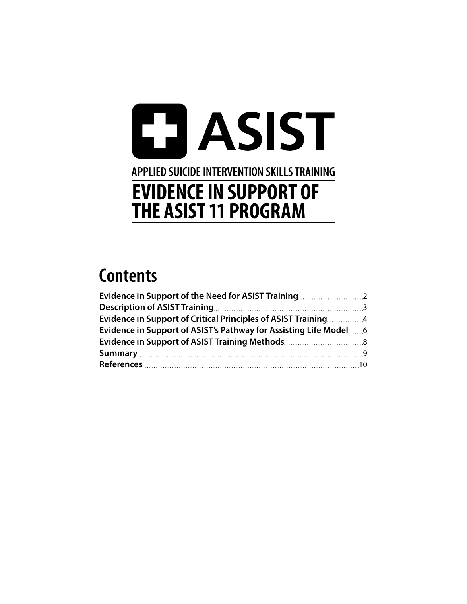## **ET ASIST APPLIED SUICIDE INTERVENTION SKILLS TRAINING EVIDENCE IN SUPPORT OF THE ASIST 11 PROGRAM**

## **Contents**

| Evidence in Support of the Need for ASIST Training              |  |
|-----------------------------------------------------------------|--|
|                                                                 |  |
| Evidence in Support of Critical Principles of ASIST Training4   |  |
| Evidence in Support of ASIST's Pathway for Assisting Life Model |  |
|                                                                 |  |
|                                                                 |  |
|                                                                 |  |
|                                                                 |  |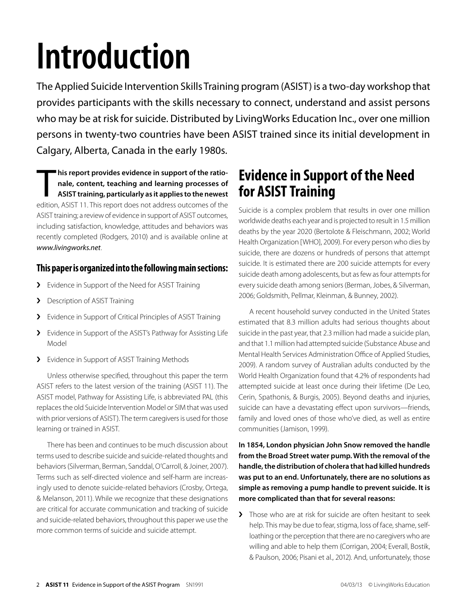# <span id="page-1-0"></span>**Introduction**

The Applied Suicide Intervention Skills Training program (ASIST) is a two-day workshop that provides participants with the skills necessary to connect, understand and assist persons who may be at risk for suicide. Distributed by LivingWorks Education Inc., over one million persons in twenty-two countries have been ASIST trained since its initial development in Calgary, Alberta, Canada in the early 1980s.

his report provides evidence in support of the rationale, content, teaching and learning processes of ASIST training, particularly as it applies to the newest edition, ASIST 11. This report does not address outcomes of the **his report provides evidence in support of the rationale, content, teaching and learning processes of ASIST training, particularly as it applies to the newest**  ASIST training; a review of evidence in support of ASIST outcomes, including satisfaction, knowledge, attitudes and behaviors was recently completed (Rodgers, 2010) and is available online at www.livingworks.net.

#### **This paper is organized into the following main sections:**

- > Evidence in Support of the Need for ASIST Training
- > Description of ASIST Training
- > Evidence in Support of Critical Principles of ASIST Training
- > Evidence in Support of the ASIST's Pathway for Assisting Life Model
- > Evidence in Support of ASIST Training Methods

Unless otherwise specified, throughout this paper the term ASIST refers to the latest version of the training (ASIST 11). The ASIST model, Pathway for Assisting Life, is abbreviated PAL (this replaces the old Suicide Intervention Model or SIM that was used with prior versions of ASIST). The term caregivers is used for those learning or trained in ASIST.

There has been and continues to be much discussion about terms used to describe suicide and suicide-related thoughts and behaviors (Silverman, Berman, Sanddal, O'Carroll, & Joiner, 2007). Terms such as self-directed violence and self-harm are increasingly used to denote suicide-related behaviors (Crosby, Ortega, & Melanson, 2011). While we recognize that these designations are critical for accurate communication and tracking of suicide and suicide-related behaviors, throughout this paper we use the more common terms of suicide and suicide attempt.

## **Evidence in Support of the Need for ASIST Training**

Suicide is a complex problem that results in over one million worldwide deaths each year and is projected to result in 1.5 million deaths by the year 2020 (Bertolote & Fleischmann, 2002; World Health Organization [WHO], 2009). For every person who dies by suicide, there are dozens or hundreds of persons that attempt suicide. It is estimated there are 200 suicide attempts for every suicide death among adolescents, but as few as four attempts for every suicide death among seniors (Berman, Jobes, & Silverman, 2006; Goldsmith, Pellmar, Kleinman, & Bunney, 2002).

A recent household survey conducted in the United States estimated that 8.3 million adults had serious thoughts about suicide in the past year, that 2.3 million had made a suicide plan, and that 1.1 million had attempted suicide (Substance Abuse and Mental Health Services Administration Office of Applied Studies, 2009). A random survey of Australian adults conducted by the World Health Organization found that 4.2% of respondents had attempted suicide at least once during their lifetime (De Leo, Cerin, Spathonis, & Burgis, 2005). Beyond deaths and injuries, suicide can have a devastating effect upon survivors—friends, family and loved ones of those who've died, as well as entire communities (Jamison, 1999).

**In 1854, London physician John Snow removed the handle from the Broad Street water pump. With the removal of the handle, the distribution of cholera that had killed hundreds was put to an end. Unfortunately, there are no solutions as simple as removing a pump handle to prevent suicide. It is more complicated than that for several reasons:**

I Those who are at risk for suicide are often hesitant to seek help. This may be due to fear, stigma, loss of face, shame, selfloathing or the perception that there are no caregivers who are willing and able to help them (Corrigan, 2004; Everall, Bostik, & Paulson, 2006; Pisani et al., 2012). And, unfortunately, those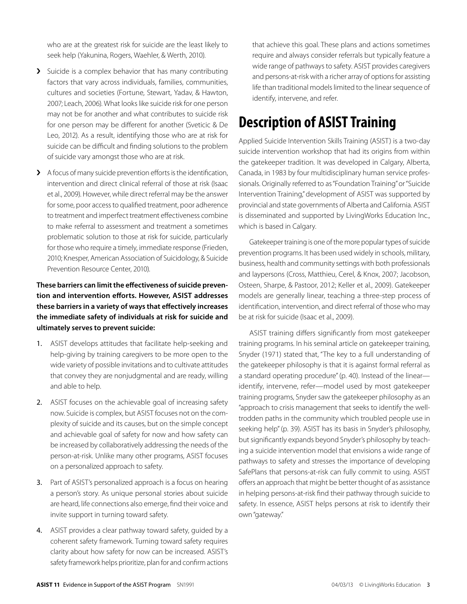<span id="page-2-0"></span>who are at the greatest risk for suicide are the least likely to seek help (Yakunina, Rogers, Waehler, & Werth, 2010).

- $\sum$  Suicide is a complex behavior that has many contributing factors that vary across individuals, families, communities, cultures and societies (Fortune, Stewart, Yadav, & Hawton, 2007; Leach, 2006). What looks like suicide risk for one person may not be for another and what contributes to suicide risk for one person may be different for another (Sveticic & De Leo, 2012). As a result, identifying those who are at risk for suicide can be difficult and finding solutions to the problem of suicide vary amongst those who are at risk.
- $\blacktriangleright$  A focus of many suicide prevention efforts is the identification, intervention and direct clinical referral of those at risk (Isaac et al., 2009). However, while direct referral may be the answer for some, poor access to qualified treatment, poor adherence to treatment and imperfect treatment effectiveness combine to make referral to assessment and treatment a sometimes problematic solution to those at risk for suicide, particularly for those who require a timely, immediate response (Frieden, 2010; Knesper, American Association of Suicidology, & Suicide Prevention Resource Center, 2010).

#### **These barriers can limit the effectiveness of suicide prevention and intervention efforts. However, ASIST addresses these barriers in a variety of ways that effectively increases the immediate safety of individuals at risk for suicide and ultimately serves to prevent suicide:**

- 1. ASIST develops attitudes that facilitate help-seeking and help-giving by training caregivers to be more open to the wide variety of possible invitations and to cultivate attitudes that convey they are nonjudgmental and are ready, willing and able to help.
- 2. ASIST focuses on the achievable goal of increasing safety now. Suicide is complex, but ASIST focuses not on the complexity of suicide and its causes, but on the simple concept and achievable goal of safety for now and how safety can be increased by collaboratively addressing the needs of the person-at-risk. Unlike many other programs, ASIST focuses on a personalized approach to safety.
- 3. Part of ASIST's personalized approach is a focus on hearing a person's story. As unique personal stories about suicide are heard, life connections also emerge, find their voice and invite support in turning toward safety.
- 4. ASIST provides a clear pathway toward safety, guided by a coherent safety framework. Turning toward safety requires clarity about how safety for now can be increased. ASIST's safety framework helps prioritize, plan for and confirm actions

that achieve this goal. These plans and actions sometimes require and always consider referrals but typically feature a wide range of pathways to safety. ASIST provides caregivers and persons-at-risk with a richer array of options for assisting life than traditional models limited to the linear sequence of identify, intervene, and refer.

## **Description of ASIST Training**

Applied Suicide Intervention Skills Training (ASIST) is a two-day suicide intervention workshop that had its origins from within the gatekeeper tradition. It was developed in Calgary, Alberta, Canada, in 1983 by four multidisciplinary human service professionals. Originally referred to as "Foundation Training" or "Suicide Intervention Training," development of ASIST was supported by provincial and state governments of Alberta and California. ASIST is disseminated and supported by LivingWorks Education Inc., which is based in Calgary.

Gatekeeper training is one of the more popular types of suicide prevention programs. It has been used widely in schools, military, business, health and community settings with both professionals and laypersons (Cross, Matthieu, Cerel, & Knox, 2007; Jacobson, Osteen, Sharpe, & Pastoor, 2012; Keller et al., 2009). Gatekeeper models are generally linear, teaching a three-step process of identification, intervention, and direct referral of those who may be at risk for suicide (Isaac et al., 2009).

ASIST training differs significantly from most gatekeeper training programs. In his seminal article on gatekeeper training, Snyder (1971) stated that, "The key to a full understanding of the gatekeeper philosophy is that it is against formal referral as a standard operating procedure" (p. 40). Instead of the linear identify, intervene, refer—model used by most gatekeeper training programs, Snyder saw the gatekeeper philosophy as an "approach to crisis management that seeks to identify the welltrodden paths in the community which troubled people use in seeking help" (p. 39). ASIST has its basis in Snyder's philosophy, but significantly expands beyond Snyder's philosophy by teaching a suicide intervention model that envisions a wide range of pathways to safety and stresses the importance of developing SafePlans that persons-at-risk can fully commit to using. ASIST offers an approach that might be better thought of as assistance in helping persons-at-risk find their pathway through suicide to safety. In essence, ASIST helps persons at risk to identify their own "gateway."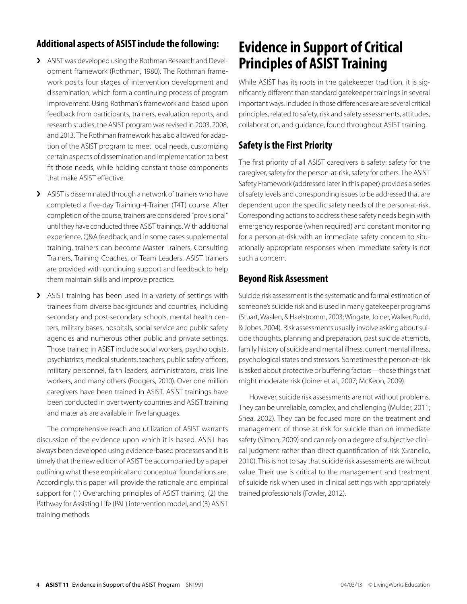#### <span id="page-3-0"></span>**Additional aspects of ASIST include the following:**

- > ASIST was developed using the Rothman Research and Development framework (Rothman, 1980). The Rothman framework posits four stages of intervention development and dissemination, which form a continuing process of program improvement. Using Rothman's framework and based upon feedback from participants, trainers, evaluation reports, and research studies, the ASIST program was revised in 2003, 2008, and 2013. The Rothman framework has also allowed for adaption of the ASIST program to meet local needs, customizing certain aspects of dissemination and implementation to best fit those needs, while holding constant those components that make ASIST effective.
- > ASIST is disseminated through a network of trainers who have completed a five-day Training-4-Trainer (T4T) course. After completion of the course, trainers are considered "provisional" until they have conducted three ASIST trainings. With additional experience, Q&A feedback, and in some cases supplemental training, trainers can become Master Trainers, Consulting Trainers, Training Coaches, or Team Leaders. ASIST trainers are provided with continuing support and feedback to help them maintain skills and improve practice.
- > ASIST training has been used in a variety of settings with trainees from diverse backgrounds and countries, including secondary and post-secondary schools, mental health centers, military bases, hospitals, social service and public safety agencies and numerous other public and private settings. Those trained in ASIST include social workers, psychologists, psychiatrists, medical students, teachers, public safety officers, military personnel, faith leaders, administrators, crisis line workers, and many others (Rodgers, 2010). Over one million caregivers have been trained in ASIST. ASIST trainings have been conducted in over twenty countries and ASIST training and materials are available in five languages.

The comprehensive reach and utilization of ASIST warrants discussion of the evidence upon which it is based. ASIST has always been developed using evidence-based processes and it is timely that the new edition of ASIST be accompanied by a paper outlining what these empirical and conceptual foundations are. Accordingly, this paper will provide the rationale and empirical support for (1) Overarching principles of ASIST training, (2) the Pathway for Assisting Life (PAL) intervention model, and (3) ASIST training methods.

## **Evidence in Support of Critical Principles of ASIST Training**

While ASIST has its roots in the gatekeeper tradition, it is significantly different than standard gatekeeper trainings in several important ways. Included in those differences are are several critical principles, related to safety, risk and safety assessments, attitudes, collaboration, and guidance, found throughout ASIST training.

#### **Safety is the First Priority**

The first priority of all ASIST caregivers is safety: safety for the caregiver, safety for the person-at-risk, safety for others. The ASIST Safety Framework (addressed later in this paper) provides a series of safety levels and corresponding issues to be addressed that are dependent upon the specific safety needs of the person-at-risk. Corresponding actions to address these safety needs begin with emergency response (when required) and constant monitoring for a person-at-risk with an immediate safety concern to situationally appropriate responses when immediate safety is not such a concern.

#### **Beyond Risk Assessment**

Suicide risk assessment is the systematic and formal estimation of someone's suicide risk and is used in many gatekeeper programs (Stuart, Waalen, & Haelstromm, 2003; Wingate, Joiner, Walker, Rudd, & Jobes, 2004). Risk assessments usually involve asking about suicide thoughts, planning and preparation, past suicide attempts, family history of suicide and mental illness, current mental illness, psychological states and stressors. Sometimes the person-at-risk is asked about protective or buffering factors—those things that might moderate risk (Joiner et al., 2007; McKeon, 2009).

However, suicide risk assessments are not without problems. They can be unreliable, complex, and challenging (Mulder, 2011; Shea, 2002). They can be focused more on the treatment and management of those at risk for suicide than on immediate safety (Simon, 2009) and can rely on a degree of subjective clinical judgment rather than direct quantification of risk (Granello, 2010). This is not to say that suicide risk assessments are without value. Their use is critical to the management and treatment of suicide risk when used in clinical settings with appropriately trained professionals (Fowler, 2012).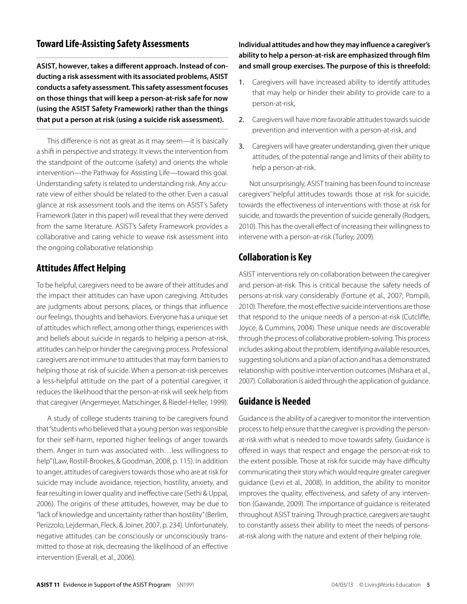#### **Toward Life-Assisting Safety Assessments**

**ASIST, however, takes a different approach. Instead of conducting a risk assessment with its associated problems, ASIST conducts a safety assessment. This safety assessment focuses on those things that will keep a person-at-risk safe for now (using the ASIST Safety Framework) rather than the things that put a person at risk (using a suicide risk assessment).**

This difference is not as great as it may seem—it is basically a shift in perspective and strategy. It views the intervention from the standpoint of the outcome (safety) and orients the whole intervention—the Pathway for Assisting Life—toward this goal. Understanding safety is related to understanding risk. Any accurate view of either should be related to the other. Even a casual glance at risk assessment tools and the items on ASIST's Safety Framework (later in this paper) will reveal that they were derived from the same literature. ASIST's Safety Framework provides a collaborative and caring vehicle to weave risk assessment into the ongoing collaborative relationship.

#### **Attitudes Affect Helping**

To be helpful, caregivers need to be aware of their attitudes and the impact their attitudes can have upon caregiving. Attitudes are judgments about persons, places, or things that influence our feelings, thoughts and behaviors. Everyone has a unique set of attitudes which reflect, among other things, experiences with and beliefs about suicide in regards to helping a person-at-risk, attitudes can help or hinder the caregiving process. Professional caregivers are not immune to attitudes that may form barriers to helping those at risk of suicide. When a person-at-risk perceives a less-helpful attitude on the part of a potential caregiver, it reduces the likelihood that the person-at-risk will seek help from that caregiver (Angermeyer, Matschinger, & Riedel-Heller, 1999).

A study of college students training to be caregivers found that "students who believed that a young person was responsible for their self-harm, reported higher feelings of anger towards them. Anger in turn was associated with…less willingness to help" (Law, Rostill-Brookes, & Goodman, 2008, p. 115). In addition to anger, attitudes of caregivers towards those who are at risk for suicide may include avoidance, rejection, hostility, anxiety, and fear resulting in lower quality and ineffective care (Sethi & Uppal, 2006). The origins of these attitudes, however, may be due to "lack of knowledge and uncertainty rather than hostility" (Berlim, Perizzolo, Lejderman, Fleck, & Joiner, 2007, p. 234). Unfortunately, negative attitudes can be consciously or unconsciously transmitted to those at risk, decreasing the likelihood of an effective intervention (Everall, et al., 2006).

#### **Individual attitudes and how they may influence a caregiver's ability to help a person-at-risk are emphasized through film and small group exercises. The purpose of this is threefold:**

- 1. Caregivers will have increased ability to identify attitudes that may help or hinder their ability to provide care to a person-at-risk,
- 2. Caregivers will have more favorable attitudes towards suicide prevention and intervention with a person-at-risk, and
- 3. Caregivers will have greater understanding, given their unique attitudes, of the potential range and limits of their ability to help a person-at-risk.

Not unsurprisingly, ASIST training has been found to increase caregivers' helpful attitudes towards those at risk for suicide, towards the effectiveness of interventions with those at risk for suicide, and towards the prevention of suicide generally (Rodgers, 2010). This has the overall effect of increasing their willingness to intervene with a person-at-risk (Turley, 2009).

#### **Collaboration is Key**

ASIST interventions rely on collaboration between the caregiver and person-at-risk. This is critical because the safety needs of persons-at-risk vary considerably (Fortune et al., 2007; Pompili, 2010). Therefore, the most effective suicide interventions are those that respond to the unique needs of a person-at-risk (Cutcliffe, Joyce, & Cummins, 2004). These unique needs are discoverable through the process of collaborative problem-solving. This process includes asking about the problem, identifying available resources, suggesting solutions and a plan of action and has a demonstrated relationship with positive intervention outcomes (Mishara et al., 2007). Collaboration is aided through the application of guidance.

#### **Guidance is Needed**

Guidance is the ability of a caregiver to monitor the intervention process to help ensure that the caregiver is providing the personat-risk with what is needed to move towards safety. Guidance is offered in ways that respect and engage the person-at-risk to the extent possible. Those at risk for suicide may have difficulty communicating their story which would require greater caregiver guidance (Levi et al., 2008). In addition, the ability to monitor improves the quality, effectiveness, and safety of any intervention (Gawande, 2009). The importance of guidance is reiterated throughout ASIST training. Through practice, caregivers are taught to constantly assess their ability to meet the needs of personsat-risk along with the nature and extent of their helping role.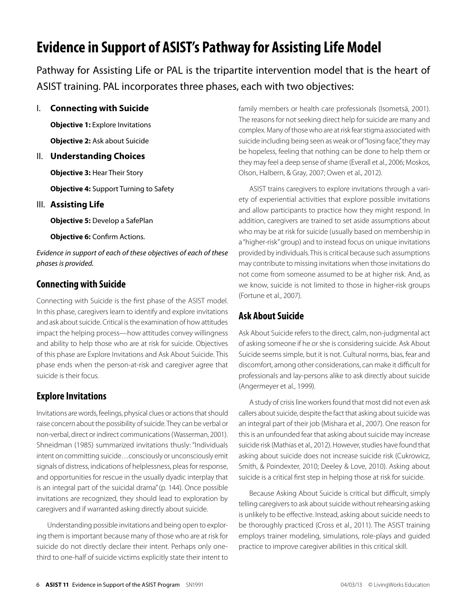## <span id="page-5-0"></span>**Evidence in Support of ASIST's Pathway for Assisting Life Model**

Pathway for Assisting Life or PAL is the tripartite intervention model that is the heart of ASIST training. PAL incorporates three phases, each with two objectives:

I. **Connecting with Suicide**

**Objective 1:** Explore Invitations **Objective 2:** Ask about Suicide

II. **Understanding Choices**

**Objective 3:** Hear Their Story

**Objective 4:** Support Turning to Safety

III. **Assisting Life**

**Objective 5:** Develop a SafePlan

**Objective 6:** Confirm Actions.

Evidence in support of each of these objectives of each of these phases is provided.

#### **Connecting with Suicide**

Connecting with Suicide is the first phase of the ASIST model. In this phase, caregivers learn to identify and explore invitations and ask about suicide. Critical is the examination of how attitudes impact the helping process—how attitudes convey willingness and ability to help those who are at risk for suicide. Objectives of this phase are Explore Invitations and Ask About Suicide. This phase ends when the person-at-risk and caregiver agree that suicide is their focus.

#### **Explore Invitations**

Invitations are words, feelings, physical clues or actions that should raise concern about the possibility of suicide. They can be verbal or non-verbal, direct or indirect communications (Wasserman, 2001). Shneidman (1985) summarized invitations thusly: "Individuals intent on committing suicide…consciously or unconsciously emit signals of distress, indications of helplessness, pleas for response, and opportunities for rescue in the usually dyadic interplay that is an integral part of the suicidal drama" (p. 144). Once possible invitations are recognized, they should lead to exploration by caregivers and if warranted asking directly about suicide.

Understanding possible invitations and being open to exploring them is important because many of those who are at risk for suicide do not directly declare their intent. Perhaps only onethird to one-half of suicide victims explicitly state their intent to family members or health care professionals (Isometsä, 2001). The reasons for not seeking direct help for suicide are many and complex. Many of those who are at risk fear stigma associated with suicide including being seen as weak or of "losing face," they may be hopeless, feeling that nothing can be done to help them or they may feel a deep sense of shame (Everall et al., 2006; Moskos, Olson, Halbern, & Gray, 2007; Owen et al., 2012).

ASIST trains caregivers to explore invitations through a variety of experiential activities that explore possible invitations and allow participants to practice how they might respond. In addition, caregivers are trained to set aside assumptions about who may be at risk for suicide (usually based on membership in a "higher-risk" group) and to instead focus on unique invitations provided by individuals. This is critical because such assumptions may contribute to missing invitations when those invitations do not come from someone assumed to be at higher risk. And, as we know, suicide is not limited to those in higher-risk groups (Fortune et al., 2007).

#### **Ask About Suicide**

Ask About Suicide refers to the direct, calm, non-judgmental act of asking someone if he or she is considering suicide. Ask About Suicide seems simple, but it is not. Cultural norms, bias, fear and discomfort, among other considerations, can make it difficult for professionals and lay-persons alike to ask directly about suicide (Angermeyer et al., 1999).

A study of crisis line workers found that most did not even ask callers about suicide, despite the fact that asking about suicide was an integral part of their job (Mishara et al., 2007). One reason for this is an unfounded fear that asking about suicide may increase suicide risk (Mathias et al., 2012). However, studies have found that asking about suicide does not increase suicide risk (Cukrowicz, Smith, & Poindexter, 2010; Deeley & Love, 2010). Asking about suicide is a critical first step in helping those at risk for suicide.

Because Asking About Suicide is critical but difficult, simply telling caregivers to ask about suicide without rehearsing asking is unlikely to be effective. Instead, asking about suicide needs to be thoroughly practiced (Cross et al., 2011). The ASIST training employs trainer modeling, simulations, role-plays and guided practice to improve caregiver abilities in this critical skill.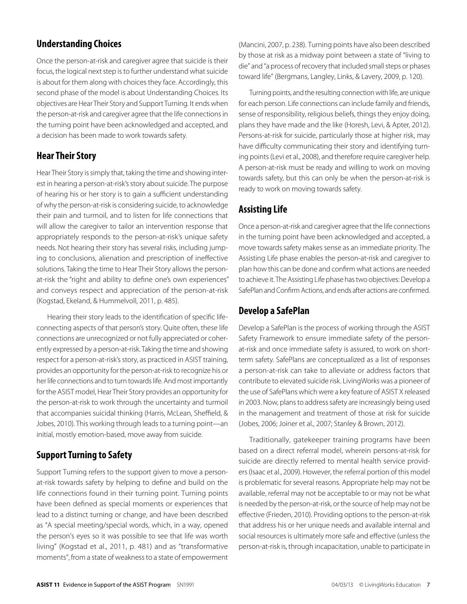#### **Understanding Choices**

Once the person-at-risk and caregiver agree that suicide is their focus, the logical next step is to further understand what suicide is about for them along with choices they face. Accordingly, this second phase of the model is about Understanding Choices. Its objectives are Hear Their Story and Support Turning. It ends when the person-at-risk and caregiver agree that the life connections in the turning point have been acknowledged and accepted, and a decision has been made to work towards safety.

#### **Hear Their Story**

Hear Their Story is simply that, taking the time and showing interest in hearing a person-at-risk's story about suicide. The purpose of hearing his or her story is to gain a sufficient understanding of why the person-at-risk is considering suicide, to acknowledge their pain and turmoil, and to listen for life connections that will allow the caregiver to tailor an intervention response that appropriately responds to the person-at-risk's unique safety needs. Not hearing their story has several risks, including jumping to conclusions, alienation and prescription of ineffective solutions. Taking the time to Hear Their Story allows the personat-risk the "right and ability to define one's own experiences" and conveys respect and appreciation of the person-at-risk (Kogstad, Ekeland, & Hummelvoll, 2011, p. 485).

Hearing their story leads to the identification of specific lifeconnecting aspects of that person's story. Quite often, these life connections are unrecognized or not fully appreciated or coherently expressed by a person-at-risk. Taking the time and showing respect for a person-at-risk's story, as practiced in ASIST training, provides an opportunity for the person-at-risk to recognize his or her life connections and to turn towards life. And most importantly for the ASIST model, Hear Their Story provides an opportunity for the person-at-risk to work through the uncertainty and turmoil that accompanies suicidal thinking (Harris, McLean, Sheffield, & Jobes, 2010). This working through leads to a turning point—an initial, mostly emotion-based, move away from suicide.

#### **Support Turning to Safety**

Support Turning refers to the support given to move a personat-risk towards safety by helping to define and build on the life connections found in their turning point. Turning points have been defined as special moments or experiences that lead to a distinct turning or change, and have been described as "A special meeting/special words, which, in a way, opened the person's eyes so it was possible to see that life was worth living" (Kogstad et al., 2011, p. 481) and as "transformative moments", from a state of weakness to a state of empowerment

(Mancini, 2007, p. 238). Turning points have also been described by those at risk as a midway point between a state of "living to die" and "a process of recovery that included small steps or phases toward life" (Bergmans, Langley, Links, & Lavery, 2009, p. 120).

Turning points, and the resulting connection with life, are unique for each person. Life connections can include family and friends, sense of responsibility, religious beliefs, things they enjoy doing, plans they have made and the like (Horesh, Levi, & Apter, 2012). Persons-at-risk for suicide, particularly those at higher risk, may have difficulty communicating their story and identifying turning points (Levi et al., 2008), and therefore require caregiver help. A person-at-risk must be ready and willing to work on moving towards safety, but this can only be when the person-at-risk is ready to work on moving towards safety.

#### **Assisting Life**

Once a person-at-risk and caregiver agree that the life connections in the turning point have been acknowledged and accepted, a move towards safety makes sense as an immediate priority. The Assisting Life phase enables the person-at-risk and caregiver to plan how this can be done and confirm what actions are needed to achieve it. The Assisting Life phase has two objectives: Develop a SafePlan and Confirm Actions, and ends after actions are confirmed.

#### **Develop a SafePlan**

Develop a SafePlan is the process of working through the ASIST Safety Framework to ensure immediate safety of the personat-risk and once immediate safety is assured, to work on shortterm safety. SafePlans are conceptualized as a list of responses a person-at-risk can take to alleviate or address factors that contribute to elevated suicide risk. LivingWorks was a pioneer of the use of SafePlans which were a key feature of ASIST X released in 2003. Now, plans to address safety are increasingly being used in the management and treatment of those at risk for suicide (Jobes, 2006; Joiner et al., 2007; Stanley & Brown, 2012).

Traditionally, gatekeeper training programs have been based on a direct referral model, wherein persons-at-risk for suicide are directly referred to mental health service providers (Isaac et al., 2009). However, the referral portion of this model is problematic for several reasons. Appropriate help may not be available, referral may not be acceptable to or may not be what is needed by the person-at-risk, or the source of help may not be effective (Frieden, 2010). Providing options to the person-at-risk that address his or her unique needs and available internal and social resources is ultimately more safe and effective (unless the person-at-risk is, through incapacitation, unable to participate in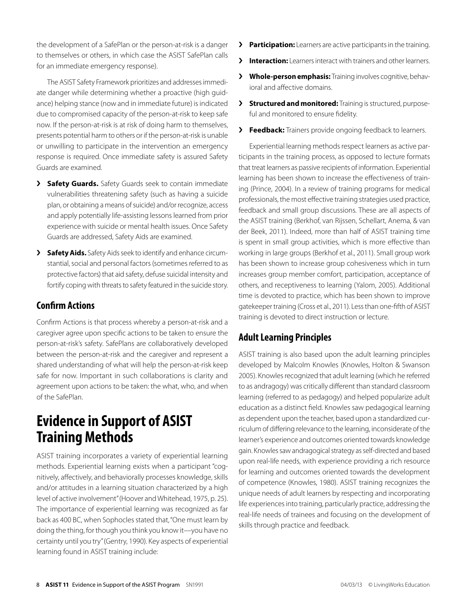<span id="page-7-0"></span>the development of a SafePlan or the person-at-risk is a danger to themselves or others, in which case the ASIST SafePlan calls for an immediate emergency response).

The ASIST Safety Framework prioritizes and addresses immediate danger while determining whether a proactive (high guidance) helping stance (now and in immediate future) is indicated due to compromised capacity of the person-at-risk to keep safe now. If the person-at-risk is at risk of doing harm to themselves, presents potential harm to others or if the person-at-risk is unable or unwilling to participate in the intervention an emergency response is required. Once immediate safety is assured Safety Guards are examined.

- **> Safety Guards.** Safety Guards seek to contain immediate vulnerabilities threatening safety (such as having a suicide plan, or obtaining a means of suicide) and/or recognize, access and apply potentially life-assisting lessons learned from prior experience with suicide or mental health issues. Once Safety Guards are addressed, Safety Aids are examined.
- **>** Safety Aids. Safety Aids seek to identify and enhance circumstantial, social and personal factors (sometimes referred to as protective factors) that aid safety, defuse suicidal intensity and fortify coping with threats to safety featured in the suicide story.

#### **Confirm Actions**

Confirm Actions is that process whereby a person-at-risk and a caregiver agree upon specific actions to be taken to ensure the person-at-risk's safety. SafePlans are collaboratively developed between the person-at-risk and the caregiver and represent a shared understanding of what will help the person-at-risk keep safe for now. Important in such collaborations is clarity and agreement upon actions to be taken: the what, who, and when of the SafePlan.

### **Evidence in Support of ASIST Training Methods**

ASIST training incorporates a variety of experiential learning methods. Experiential learning exists when a participant "cognitively, affectively, and behaviorally processes knowledge, skills and/or attitudes in a learning situation characterized by a high level of active involvement" (Hoover and Whitehead, 1975, p. 25). The importance of experiential learning was recognized as far back as 400 BC, when Sophocles stated that, "One must learn by doing the thing, for though you think you know it—you have no certainty until you try" (Gentry, 1990). Key aspects of experiential learning found in ASIST training include:

- **>** Participation: Learners are active participants in the training.
- **Interaction:** Learners interact with trainers and other learners.
- **X** Whole-person emphasis: Training involves cognitive, behavioral and affective domains.
- **>** Structured and monitored: Training is structured, purposeful and monitored to ensure fidelity.
- **>** Feedback: Trainers provide ongoing feedback to learners.

Experiential learning methods respect learners as active participants in the training process, as opposed to lecture formats that treat learners as passive recipients of information. Experiential learning has been shown to increase the effectiveness of training (Prince, 2004). In a review of training programs for medical professionals, the most effective training strategies used practice, feedback and small group discussions. These are all aspects of the ASIST training (Berkhof, van Rijssen, Schellart, Anema, & van der Beek, 2011). Indeed, more than half of ASIST training time is spent in small group activities, which is more effective than working in large groups (Berkhof et al., 2011). Small group work has been shown to increase group cohesiveness which in turn increases group member comfort, participation, acceptance of others, and receptiveness to learning (Yalom, 2005). Additional time is devoted to practice, which has been shown to improve gatekeeper training (Cross et al., 2011). Less than one-fifth of ASIST training is devoted to direct instruction or lecture.

#### **Adult Learning Principles**

ASIST training is also based upon the adult learning principles developed by Malcolm Knowles (Knowles, Holton & Swanson 2005). Knowles recognized that adult learning (which he referred to as andragogy) was critically different than standard classroom learning (referred to as pedagogy) and helped popularize adult education as a distinct field. Knowles saw pedagogical learning as dependent upon the teacher, based upon a standardized curriculum of differing relevance to the learning, inconsiderate of the learner's experience and outcomes oriented towards knowledge gain. Knowles saw andragogical strategy as self-directed and based upon real-life needs, with experience providing a rich resource for learning and outcomes oriented towards the development of competence (Knowles, 1980). ASIST training recognizes the unique needs of adult learners by respecting and incorporating life experiences into training, particularly practice, addressing the real-life needs of trainees and focusing on the development of skills through practice and feedback.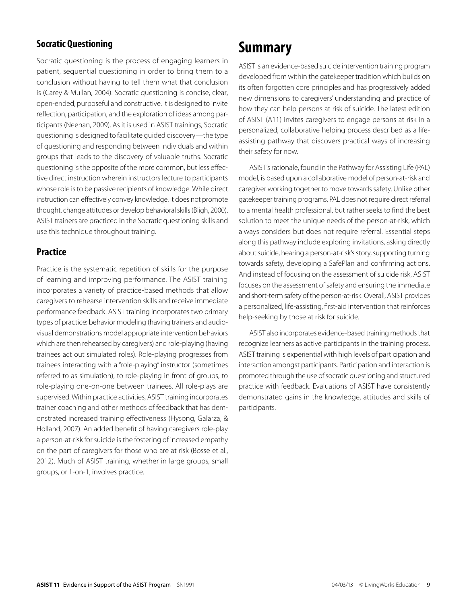#### <span id="page-8-0"></span>**Socratic Questioning**

Socratic questioning is the process of engaging learners in patient, sequential questioning in order to bring them to a conclusion without having to tell them what that conclusion is (Carey & Mullan, 2004). Socratic questioning is concise, clear, open-ended, purposeful and constructive. It is designed to invite reflection, participation, and the exploration of ideas among participants (Neenan, 2009). As it is used in ASIST trainings, Socratic questioning is designed to facilitate guided discovery—the type of questioning and responding between individuals and within groups that leads to the discovery of valuable truths. Socratic questioning is the opposite of the more common, but less effective direct instruction wherein instructors lecture to participants whose role is to be passive recipients of knowledge. While direct instruction can effectively convey knowledge, it does not promote thought, change attitudes or develop behavioral skills (Bligh, 2000). ASIST trainers are practiced in the Socratic questioning skills and use this technique throughout training.

#### **Practice**

Practice is the systematic repetition of skills for the purpose of learning and improving performance. The ASIST training incorporates a variety of practice-based methods that allow caregivers to rehearse intervention skills and receive immediate performance feedback. ASIST training incorporates two primary types of practice: behavior modeling (having trainers and audiovisual demonstrations model appropriate intervention behaviors which are then rehearsed by caregivers) and role-playing (having trainees act out simulated roles). Role-playing progresses from trainees interacting with a "role-playing" instructor (sometimes referred to as simulation), to role-playing in front of groups, to role-playing one-on-one between trainees. All role-plays are supervised. Within practice activities, ASIST training incorporates trainer coaching and other methods of feedback that has demonstrated increased training effectiveness (Hysong, Galarza, & Holland, 2007). An added benefit of having caregivers role-play a person-at-risk for suicide is the fostering of increased empathy on the part of caregivers for those who are at risk (Bosse et al., 2012). Much of ASIST training, whether in large groups, small groups, or 1-on-1, involves practice.

## **Summary**

ASIST is an evidence-based suicide intervention training program developed from within the gatekeeper tradition which builds on its often forgotten core principles and has progressively added new dimensions to caregivers' understanding and practice of how they can help persons at risk of suicide. The latest edition of ASIST (A11) invites caregivers to engage persons at risk in a personalized, collaborative helping process described as a lifeassisting pathway that discovers practical ways of increasing their safety for now.

ASIST's rationale, found in the Pathway for Assisting Life (PAL) model, is based upon a collaborative model of person-at-risk and caregiver working together to move towards safety. Unlike other gatekeeper training programs, PAL does not require direct referral to a mental health professional, but rather seeks to find the best solution to meet the unique needs of the person-at-risk, which always considers but does not require referral. Essential steps along this pathway include exploring invitations, asking directly about suicide, hearing a person-at-risk's story, supporting turning towards safety, developing a SafePlan and confirming actions. And instead of focusing on the assessment of suicide risk, ASIST focuses on the assessment of safety and ensuring the immediate and short-term safety of the person-at-risk. Overall, ASIST provides a personalized, life-assisting, first-aid intervention that reinforces help-seeking by those at risk for suicide.

ASIST also incorporates evidence-based training methods that recognize learners as active participants in the training process. ASIST training is experiential with high levels of participation and interaction amongst participants. Participation and interaction is promoted through the use of socratic questioning and structured practice with feedback. Evaluations of ASIST have consistently demonstrated gains in the knowledge, attitudes and skills of participants.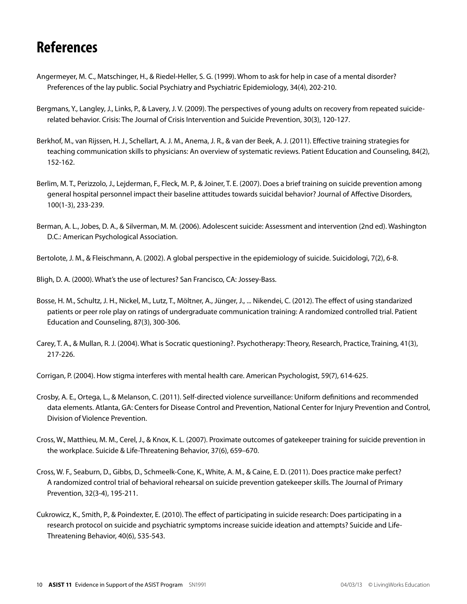## <span id="page-9-0"></span>**References**

- Angermeyer, M. C., Matschinger, H., & Riedel-Heller, S. G. (1999). Whom to ask for help in case of a mental disorder? Preferences of the lay public. Social Psychiatry and Psychiatric Epidemiology, 34(4), 202-210.
- Bergmans, Y., Langley, J., Links, P., & Lavery, J. V. (2009). The perspectives of young adults on recovery from repeated suiciderelated behavior. Crisis: The Journal of Crisis Intervention and Suicide Prevention, 30(3), 120-127.
- Berkhof, M., van Rijssen, H. J., Schellart, A. J. M., Anema, J. R., & van der Beek, A. J. (2011). Effective training strategies for teaching communication skills to physicians: An overview of systematic reviews. Patient Education and Counseling, 84(2), 152-162.
- Berlim, M. T., Perizzolo, J., Lejderman, F., Fleck, M. P., & Joiner, T. E. (2007). Does a brief training on suicide prevention among general hospital personnel impact their baseline attitudes towards suicidal behavior? Journal of Affective Disorders, 100(1-3), 233-239.
- Berman, A. L., Jobes, D. A., & Silverman, M. M. (2006). Adolescent suicide: Assessment and intervention (2nd ed). Washington D.C.: American Psychological Association.
- Bertolote, J. M., & Fleischmann, A. (2002). A global perspective in the epidemiology of suicide. Suicidologi, 7(2), 6-8.

Bligh, D. A. (2000). What's the use of lectures? San Francisco, CA: Jossey-Bass.

- Bosse, H. M., Schultz, J. H., Nickel, M., Lutz, T., Möltner, A., Jünger, J., ... Nikendei, C. (2012). The effect of using standarized patients or peer role play on ratings of undergraduate communication training: A randomized controlled trial. Patient Education and Counseling, 87(3), 300-306.
- Carey, T. A., & Mullan, R. J. (2004). What is Socratic questioning?. Psychotherapy: Theory, Research, Practice, Training, 41(3), 217-226.

Corrigan, P. (2004). How stigma interferes with mental health care. American Psychologist, 59(7), 614-625.

- Crosby, A. E., Ortega, L., & Melanson, C. (2011). Self-directed violence surveillance: Uniform definitions and recommended data elements. Atlanta, GA: Centers for Disease Control and Prevention, National Center for Injury Prevention and Control, Division of Violence Prevention.
- Cross, W., Matthieu, M. M., Cerel, J., & Knox, K. L. (2007). Proximate outcomes of gatekeeper training for suicide prevention in the workplace. Suicide & Life-Threatening Behavior, 37(6), 659–670.
- Cross, W. F., Seaburn, D., Gibbs, D., Schmeelk-Cone, K., White, A. M., & Caine, E. D. (2011). Does practice make perfect? A randomized control trial of behavioral rehearsal on suicide prevention gatekeeper skills. The Journal of Primary Prevention, 32(3-4), 195-211.
- Cukrowicz, K., Smith, P., & Poindexter, E. (2010). The effect of participating in suicide research: Does participating in a research protocol on suicide and psychiatric symptoms increase suicide ideation and attempts? Suicide and Life-Threatening Behavior, 40(6), 535-543.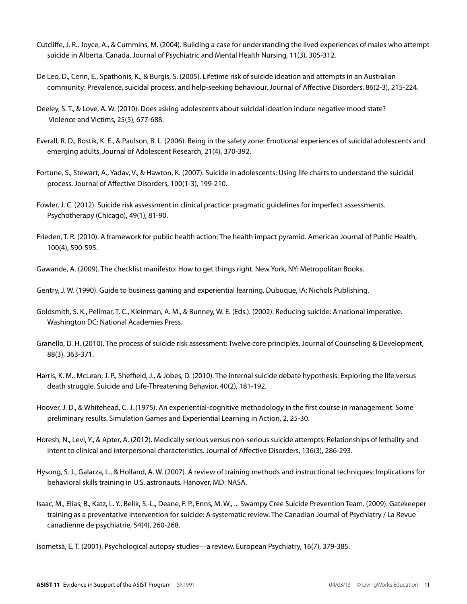- Cutcliffe, J. R., Joyce, A., & Cummins, M. (2004). Building a case for understanding the lived experiences of males who attempt suicide in Alberta, Canada. Journal of Psychiatric and Mental Health Nursing, 11(3), 305-312.
- De Leo, D., Cerin, E., Spathonis, K., & Burgis, S. (2005). Lifetime risk of suicide ideation and attempts in an Australian community: Prevalence, suicidal process, and help-seeking behaviour. Journal of Affective Disorders, 86(2-3), 215-224.
- Deeley, S. T., & Love, A. W. (2010). Does asking adolescents about suicidal ideation induce negative mood state? Violence and Victims, 25(5), 677-688.
- Everall, R. D., Bostik, K. E., & Paulson, B. L. (2006). Being in the safety zone: Emotional experiences of suicidal adolescents and emerging adults. Journal of Adolescent Research, 21(4), 370-392.
- Fortune, S., Stewart, A., Yadav, V., & Hawton, K. (2007). Suicide in adolescents: Using life charts to understand the suicidal process. Journal of Affective Disorders, 100(1-3), 199-210.
- Fowler, J. C. (2012). Suicide risk assessment in clinical practice: pragmatic guidelines for imperfect assessments. Psychotherapy (Chicago), 49(1), 81-90.
- Frieden, T. R. (2010). A framework for public health action: The health impact pyramid. American Journal of Public Health, 100(4), 590-595.

Gawande, A. (2009). The checklist manifesto: How to get things right. New York, NY: Metropolitan Books.

Gentry, J. W. (1990). Guide to business gaming and experiential learning. Dubuque, IA: Nichols Publishing.

- Goldsmith, S. K., Pellmar, T. C., Kleinman, A. M., & Bunney, W. E. (Eds.). (2002). Reducing suicide: A national imperative. Washington DC: National Academies Press.
- Granello, D. H. (2010). The process of suicide risk assessment: Twelve core principles. Journal of Counseling & Development, 88(3), 363-371.
- Harris, K. M., McLean, J. P., Sheffield, J., & Jobes, D. (2010). The internal suicide debate hypothesis: Exploring the life versus death struggle. Suicide and Life-Threatening Behavior, 40(2), 181-192.
- Hoover, J. D., & Whitehead, C. J. (1975). An experiential-cognitive methodology in the first course in management: Some preliminary results. Simulation Games and Experiential Learning in Action, 2, 25-30.
- Horesh, N., Levi, Y., & Apter, A. (2012). Medically serious versus non-serious suicide attempts: Relationships of lethality and intent to clinical and interpersonal characteristics. Journal of Affective Disorders, 136(3), 286-293.
- Hysong, S. J., Galarza, L., & Holland, A. W. (2007). A review of training methods and instructional techniques: Implications for behavioral skills training in U.S. astronauts. Hanover, MD: NASA.
- Isaac, M., Elias, B., Katz, L. Y., Belik, S.-L., Deane, F. P., Enns, M. W., ... Swampy Cree Suicide Prevention Team. (2009). Gatekeeper training as a preventative intervention for suicide: A systematic review. The Canadian Journal of Psychiatry / La Revue canadienne de psychiatrie, 54(4), 260-268.

Isometsä, E. T. (2001). Psychological autopsy studies—a review. European Psychiatry, 16(7), 379-385.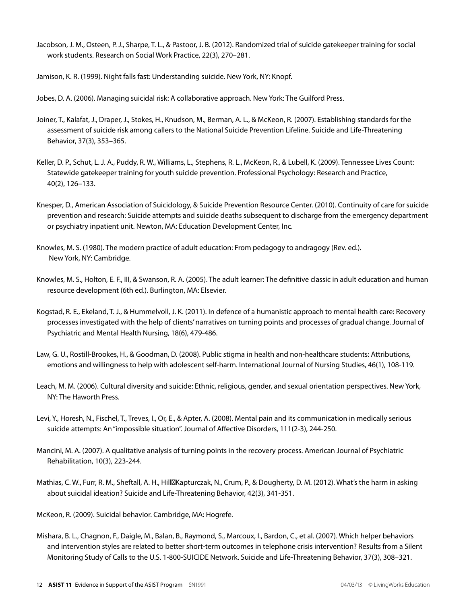Jacobson, J. M., Osteen, P. J., Sharpe, T. L., & Pastoor, J. B. (2012). Randomized trial of suicide gatekeeper training for social work students. Research on Social Work Practice, 22(3), 270–281.

Jamison, K. R. (1999). Night falls fast: Understanding suicide. New York, NY: Knopf.

Jobes, D. A. (2006). Managing suicidal risk: A collaborative approach. New York: The Guilford Press.

- Joiner, T., Kalafat, J., Draper, J., Stokes, H., Knudson, M., Berman, A. L., & McKeon, R. (2007). Establishing standards for the assessment of suicide risk among callers to the National Suicide Prevention Lifeline. Suicide and Life-Threatening Behavior, 37(3), 353–365.
- Keller, D. P., Schut, L. J. A., Puddy, R. W., Williams, L., Stephens, R. L., McKeon, R., & Lubell, K. (2009). Tennessee Lives Count: Statewide gatekeeper training for youth suicide prevention. Professional Psychology: Research and Practice, 40(2), 126–133.
- Knesper, D., American Association of Suicidology, & Suicide Prevention Resource Center. (2010). Continuity of care for suicide prevention and research: Suicide attempts and suicide deaths subsequent to discharge from the emergency department or psychiatry inpatient unit. Newton, MA: Education Development Center, Inc.
- Knowles, M. S. (1980). The modern practice of adult education: From pedagogy to andragogy (Rev. ed.). New York, NY: Cambridge.
- Knowles, M. S., Holton, E. F., III, & Swanson, R. A. (2005). The adult learner: The definitive classic in adult education and human resource development (6th ed.). Burlington, MA: Elsevier.
- Kogstad, R. E., Ekeland, T. J., & Hummelvoll, J. K. (2011). In defence of a humanistic approach to mental health care: Recovery processes investigated with the help of clients' narratives on turning points and processes of gradual change. Journal of Psychiatric and Mental Health Nursing, 18(6), 479-486.
- Law, G. U., Rostill-Brookes, H., & Goodman, D. (2008). Public stigma in health and non-healthcare students: Attributions, emotions and willingness to help with adolescent self-harm. International Journal of Nursing Studies, 46(1), 108-119.
- Leach, M. M. (2006). Cultural diversity and suicide: Ethnic, religious, gender, and sexual orientation perspectives. New York, NY: The Haworth Press.
- Levi, Y., Horesh, N., Fischel, T., Treves, I., Or, E., & Apter, A. (2008). Mental pain and its communication in medically serious suicide attempts: An "impossible situation". Journal of Affective Disorders, 111(2-3), 244-250.
- Mancini, M. A. (2007). A qualitative analysis of turning points in the recovery process. American Journal of Psychiatric Rehabilitation, 10(3), 223-244.
- Mathias, C. W., Furr, R. M., Sheftall, A. H., Hill Kapturczak, N., Crum, P., & Dougherty, D. M. (2012). What's the harm in asking about suicidal ideation? Suicide and Life-Threatening Behavior, 42(3), 341-351.
- McKeon, R. (2009). Suicidal behavior. Cambridge, MA: Hogrefe.
- Mishara, B. L., Chagnon, F., Daigle, M., Balan, B., Raymond, S., Marcoux, I., Bardon, C., et al. (2007). Which helper behaviors and intervention styles are related to better short-term outcomes in telephone crisis intervention? Results from a Silent Monitoring Study of Calls to the U.S. 1-800-SUICIDE Network. Suicide and Life-Threatening Behavior, 37(3), 308–321.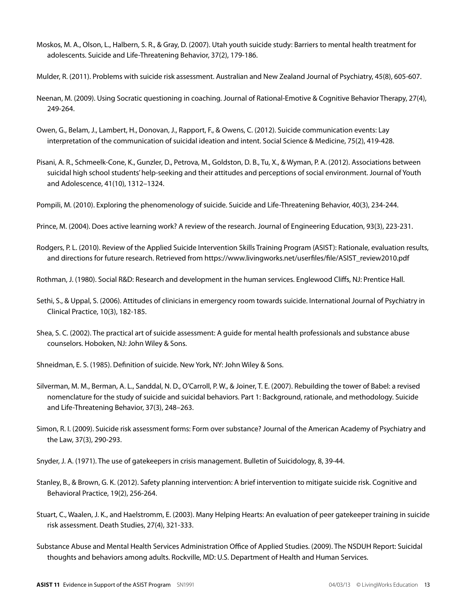- Moskos, M. A., Olson, L., Halbern, S. R., & Gray, D. (2007). Utah youth suicide study: Barriers to mental health treatment for adolescents. Suicide and Life-Threatening Behavior, 37(2), 179-186.
- Mulder, R. (2011). Problems with suicide risk assessment. Australian and New Zealand Journal of Psychiatry, 45(8), 605-607.
- Neenan, M. (2009). Using Socratic questioning in coaching. Journal of Rational-Emotive & Cognitive Behavior Therapy, 27(4), 249-264.
- Owen, G., Belam, J., Lambert, H., Donovan, J., Rapport, F., & Owens, C. (2012). Suicide communication events: Lay interpretation of the communication of suicidal ideation and intent. Social Science & Medicine, 75(2), 419-428.
- Pisani, A. R., Schmeelk-Cone, K., Gunzler, D., Petrova, M., Goldston, D. B., Tu, X., & Wyman, P. A. (2012). Associations between suicidal high school students' help-seeking and their attitudes and perceptions of social environment. Journal of Youth and Adolescence, 41(10), 1312–1324.
- Pompili, M. (2010). Exploring the phenomenology of suicide. Suicide and Life-Threatening Behavior, 40(3), 234-244.
- Prince, M. (2004). Does active learning work? A review of the research. Journal of Engineering Education, 93(3), 223-231.
- Rodgers, P. L. (2010). Review of the Applied Suicide Intervention Skills Training Program (ASIST): Rationale, evaluation results, and directions for future research. Retrieved from https://www.livingworks.net/userfiles/file/ASIST\_review2010.pdf
- Rothman, J. (1980). Social R&D: Research and development in the human services. Englewood Cliffs, NJ: Prentice Hall.
- Sethi, S., & Uppal, S. (2006). Attitudes of clinicians in emergency room towards suicide. International Journal of Psychiatry in Clinical Practice, 10(3), 182-185.
- Shea, S. C. (2002). The practical art of suicide assessment: A guide for mental health professionals and substance abuse counselors. Hoboken, NJ: John Wiley & Sons.

Shneidman, E. S. (1985). Definition of suicide. New York, NY: John Wiley & Sons.

- Silverman, M. M., Berman, A. L., Sanddal, N. D., O'Carroll, P. W., & Joiner, T. E. (2007). Rebuilding the tower of Babel: a revised nomenclature for the study of suicide and suicidal behaviors. Part 1: Background, rationale, and methodology. Suicide and Life-Threatening Behavior, 37(3), 248–263.
- Simon, R. I. (2009). Suicide risk assessment forms: Form over substance? Journal of the American Academy of Psychiatry and the Law, 37(3), 290-293.
- Snyder, J. A. (1971). The use of gatekeepers in crisis management. Bulletin of Suicidology, 8, 39-44.
- Stanley, B., & Brown, G. K. (2012). Safety planning intervention: A brief intervention to mitigate suicide risk. Cognitive and Behavioral Practice, 19(2), 256-264.
- Stuart, C., Waalen, J. K., and Haelstromm, E. (2003). Many Helping Hearts: An evaluation of peer gatekeeper training in suicide risk assessment. Death Studies, 27(4), 321-333.
- Substance Abuse and Mental Health Services Administration Office of Applied Studies. (2009). The NSDUH Report: Suicidal thoughts and behaviors among adults. Rockville, MD: U.S. Department of Health and Human Services.